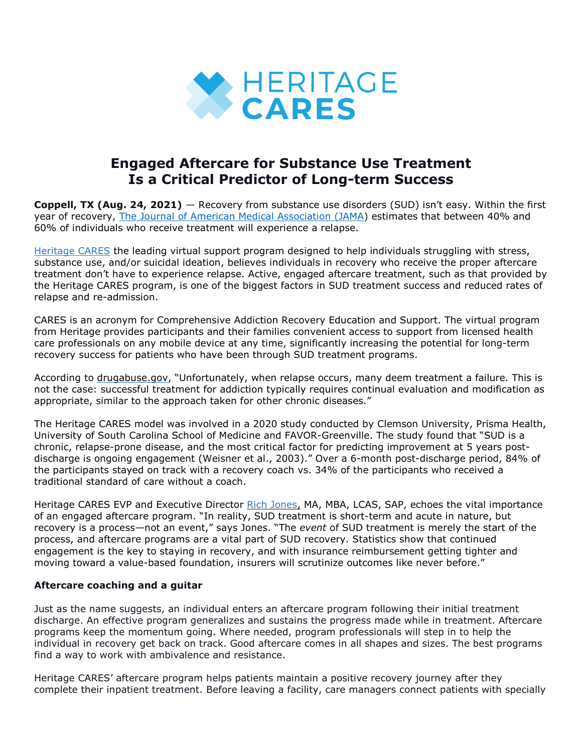

# **Engaged Aftercare for Substance Use Treatment Is a Critical Predictor of Long-term Success**

**Coppell, TX (Aug. 24, 2021)** — Recovery from substance use disorders (SUD) isn't easy. Within the first year of recovery, The Journal of American Medical [Association](https://jamanetwork.com/journals/jama/article-abstract/1883017) (JAMA) estimates that between 40% and 60% of individuals who receive treatment will experience a relapse.

[Heritage](https://bit.ly/3mspqZ8) CARES the leading virtual support program designed to help individuals struggling with stress, substance use, and/or suicidal ideation, believes individuals in recovery who receive the proper aftercare treatment don't have to experience relapse. Active, engaged aftercare treatment, such as that provided by the Heritage CARES program, is one of the biggest factors in SUD treatment success and reduced rates of relapse and re-admission.

CARES is an acronym for Comprehensive Addiction Recovery Education and Support. The virtual program from Heritage provides participants and their families convenient access to support from licensed health care professionals on any mobile device at any time, significantly increasing the potential for long-term recovery success for patients who have been through SUD treatment programs.

According to [drugabuse.gov,](https://www.drugabuse.gov/publications/principles-drug-addiction-treatment-research-based-guide-third-edition/frequently-asked-questions/how-effective-drug-addiction-treatment) "Unfortunately, when relapse occurs, many deem treatment a failure. This is not the case: successful treatment for addiction typically requires continual evaluation and modification as appropriate, similar to the approach taken for other chronic diseases."

The Heritage CARES model was involved in a 2020 study conducted by Clemson University, Prisma Health, University of South Carolina School of Medicine and FAVOR-Greenville. The study found that "SUD is a chronic, relapse-prone disease, and the most critical factor for predicting improvement at 5 years postdischarge is ongoing engagement (Weisner et al., 2003)." Over a 6-month post-discharge period, 84% of the participants stayed on track with a recovery coach vs. 34% of the participants who received a traditional standard of care without a coach.

Heritage CARES EVP and Executive Director Rich [Jones,](https://bit.ly/389dHWM) MA, MBA, LCAS, SAP, echoes the vital importance of an engaged aftercare program. "In reality, SUD treatment is short-term and acute in nature, but recovery is a process—not an event," says Jones. "The *event* of SUD treatment is merely the start of the process, and aftercare programs are a vital part of SUD recovery. Statistics show that continued engagement is the key to staying in recovery, and with insurance reimbursement getting tighter and moving toward a value-based foundation, insurers will scrutinize outcomes like never before."

## **Aftercare coaching and a guitar**

Just as the name suggests, an individual enters an aftercare program following their initial treatment discharge. An effective program generalizes and sustains the progress made while in treatment. Aftercare programs keep the momentum going. Where needed, program professionals will step in to help the individual in recovery get back on track. Good aftercare comes in all shapes and sizes. The best programs find a way to work with ambivalence and resistance.

Heritage CARES' aftercare program helps patients maintain a positive recovery journey after they complete their inpatient treatment. Before leaving a facility, care managers connect patients with specially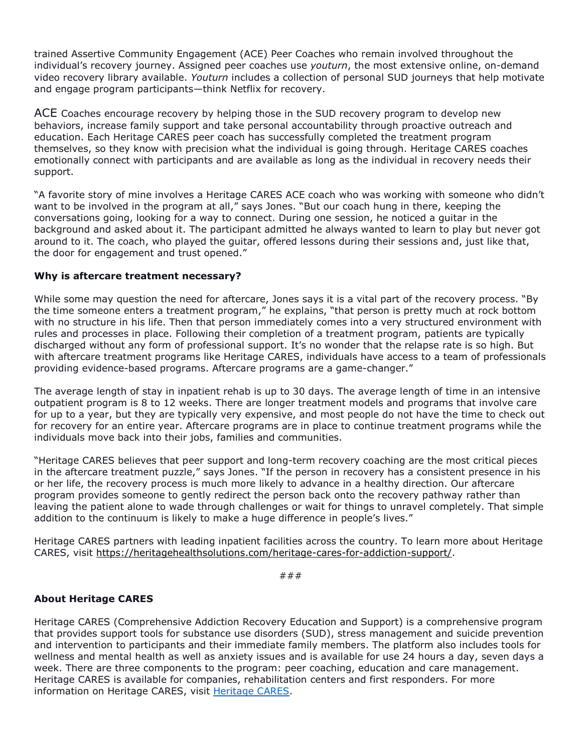trained Assertive Community Engagement (ACE) Peer Coaches who remain involved throughout the individual's recovery journey. Assigned peer coaches use *youturn*, the most extensive online, on-demand video recovery library available. *Youturn* includes a collection of personal SUD journeys that help motivate and engage program participants—think Netflix for recovery.

ACE Coaches encourage recovery by helping those in the SUD recovery program to develop new behaviors, increase family support and take personal accountability through proactive outreach and education. Each Heritage CARES peer coach has successfully completed the treatment program themselves, so they know with precision what the individual is going through. Heritage CARES coaches emotionally connect with participants and are available as long as the individual in recovery needs their support.

"A favorite story of mine involves a Heritage CARES ACE coach who was working with someone who didn't want to be involved in the program at all," says Jones. "But our coach hung in there, keeping the conversations going, looking for a way to connect. During one session, he noticed a guitar in the background and asked about it. The participant admitted he always wanted to learn to play but never got around to it. The coach, who played the guitar, offered lessons during their sessions and, just like that, the door for engagement and trust opened."

### **Why is aftercare treatment necessary?**

While some may question the need for aftercare, Jones says it is a vital part of the recovery process. "By the time someone enters a treatment program," he explains, "that person is pretty much at rock bottom with no structure in his life. Then that person immediately comes into a very structured environment with rules and processes in place. Following their completion of a treatment program, patients are typically discharged without any form of professional support. It's no wonder that the relapse rate is so high. But with aftercare treatment programs like Heritage CARES, individuals have access to a team of professionals providing evidence-based programs. Aftercare programs are a game-changer."

The average length of stay in inpatient rehab is up to 30 days. The average length of time in an intensive outpatient program is 8 to 12 weeks. There are longer treatment models and programs that involve care for up to a year, but they are typically very expensive, and most people do not have the time to check out for recovery for an entire year. Aftercare programs are in place to continue treatment programs while the individuals move back into their jobs, families and communities.

"Heritage CARES believes that peer support and long-term recovery coaching are the most critical pieces in the aftercare treatment puzzle," says Jones. "If the person in recovery has a consistent presence in his or her life, the recovery process is much more likely to advance in a healthy direction. Our aftercare program provides someone to gently redirect the person back onto the recovery pathway rather than leaving the patient alone to wade through challenges or wait for things to unravel completely. That simple addition to the continuum is likely to make a huge difference in people's lives."

Heritage CARES partners with leading inpatient facilities across the country. To learn more about Heritage CARES, visit [https://heritagehealthsolutions.com/heritage-cares-for-addiction-support/.](https://bit.ly/3mspqZ8)

###

### **About Heritage CARES**

Heritage CARES (Comprehensive Addiction Recovery Education and Support) is a comprehensive program that provides support tools for substance use disorders (SUD), stress management and suicide prevention and intervention to participants and their immediate family members. The platform also includes tools for wellness and mental health as well as anxiety issues and is available for use 24 hours a day, seven days a week. There are three components to the program: peer coaching, education and care management. Heritage CARES is available for companies, rehabilitation centers and first responders. For more information on Heritage CARES, visit [Heritage](https://bit.ly/3mspqZ8) CARES.